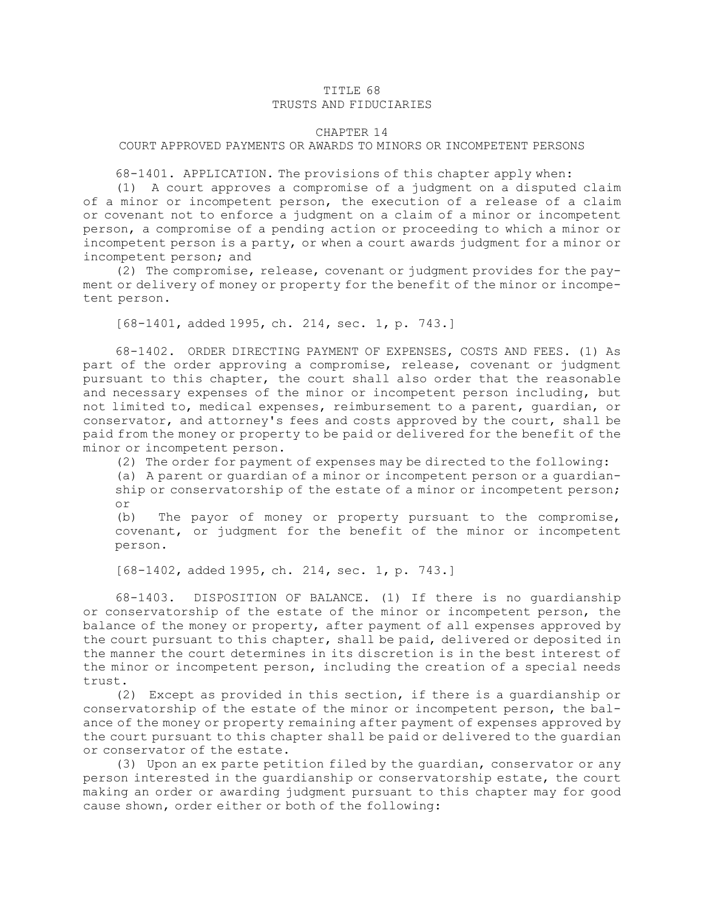## TITLE 68 TRUSTS AND FIDUCIARIES

## CHAPTER 14

## COURT APPROVED PAYMENTS OR AWARDS TO MINORS OR INCOMPETENT PERSONS

68-1401. APPLICATION. The provisions of this chapter apply when:

(1) <sup>A</sup> court approves <sup>a</sup> compromise of <sup>a</sup> judgment on <sup>a</sup> disputed claim of <sup>a</sup> minor or incompetent person, the execution of <sup>a</sup> release of <sup>a</sup> claim or covenant not to enforce <sup>a</sup> judgment on <sup>a</sup> claim of <sup>a</sup> minor or incompetent person, <sup>a</sup> compromise of <sup>a</sup> pending action or proceeding to which <sup>a</sup> minor or incompetent person is <sup>a</sup> party, or when <sup>a</sup> court awards judgment for <sup>a</sup> minor or incompetent person; and

(2) The compromise, release, covenant or judgment provides for the payment or delivery of money or property for the benefit of the minor or incompetent person.

[68-1401, added 1995, ch. 214, sec. 1, p. 743.]

68-1402. ORDER DIRECTING PAYMENT OF EXPENSES, COSTS AND FEES. (1) As part of the order approving <sup>a</sup> compromise, release, covenant or judgment pursuant to this chapter, the court shall also order that the reasonable and necessary expenses of the minor or incompetent person including, but not limited to, medical expenses, reimbursement to <sup>a</sup> parent, guardian, or conservator, and attorney's fees and costs approved by the court, shall be paid from the money or property to be paid or delivered for the benefit of the minor or incompetent person.

(2) The order for payment of expenses may be directed to the following:

(a) <sup>A</sup> parent or guardian of <sup>a</sup> minor or incompetent person or <sup>a</sup> guardianship or conservatorship of the estate of <sup>a</sup> minor or incompetent person; or

(b) The payor of money or property pursuant to the compromise, covenant, or judgment for the benefit of the minor or incompetent person.

[68-1402, added 1995, ch. 214, sec. 1, p. 743.]

68-1403. DISPOSITION OF BALANCE. (1) If there is no guardianship or conservatorship of the estate of the minor or incompetent person, the balance of the money or property, after payment of all expenses approved by the court pursuant to this chapter, shall be paid, delivered or deposited in the manner the court determines in its discretion is in the best interest of the minor or incompetent person, including the creation of <sup>a</sup> special needs trust.

(2) Except as provided in this section, if there is <sup>a</sup> guardianship or conservatorship of the estate of the minor or incompetent person, the balance of the money or property remaining after payment of expenses approved by the court pursuant to this chapter shall be paid or delivered to the guardian or conservator of the estate.

(3) Upon an ex parte petition filed by the guardian, conservator or any person interested in the guardianship or conservatorship estate, the court making an order or awarding judgment pursuant to this chapter may for good cause shown, order either or both of the following: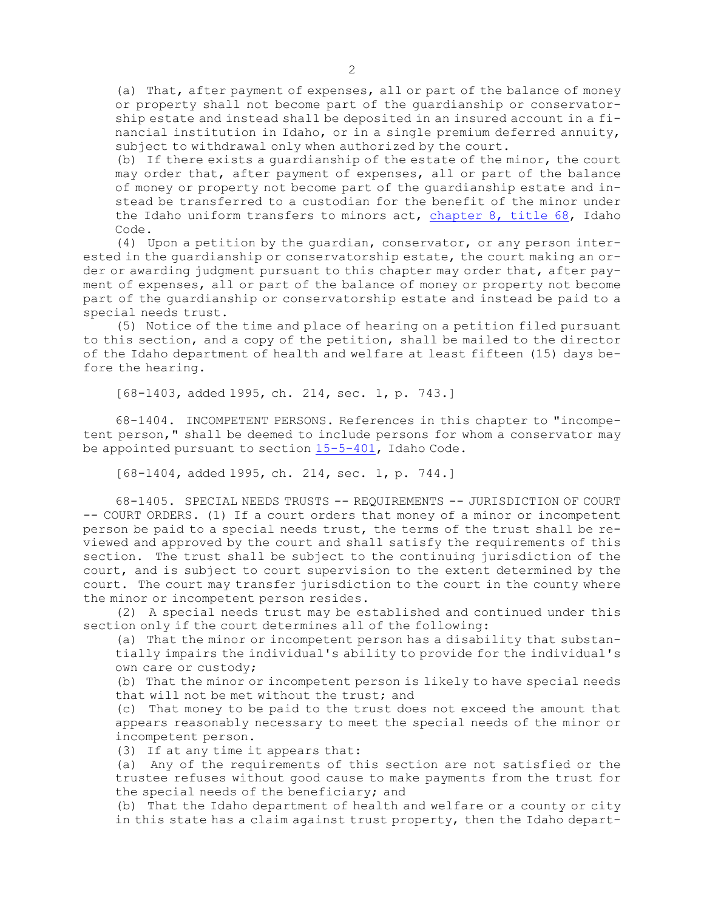(a) That, after payment of expenses, all or part of the balance of money or property shall not become part of the guardianship or conservatorship estate and instead shall be deposited in an insured account in <sup>a</sup> financial institution in Idaho, or in <sup>a</sup> single premium deferred annuity, subject to withdrawal only when authorized by the court.

(b) If there exists <sup>a</sup> guardianship of the estate of the minor, the court may order that, after payment of expenses, all or part of the balance of money or property not become part of the guardianship estate and instead be transferred to <sup>a</sup> custodian for the benefit of the minor under the Idaho uniform transfers to minors act, [chapter](https://legislature.idaho.gov/statutesrules/idstat/Title68/T68CH8) 8, title 68, Idaho Code.

(4) Upon <sup>a</sup> petition by the guardian, conservator, or any person interested in the guardianship or conservatorship estate, the court making an order or awarding judgment pursuant to this chapter may order that, after payment of expenses, all or part of the balance of money or property not become part of the guardianship or conservatorship estate and instead be paid to <sup>a</sup> special needs trust.

(5) Notice of the time and place of hearing on <sup>a</sup> petition filed pursuant to this section, and <sup>a</sup> copy of the petition, shall be mailed to the director of the Idaho department of health and welfare at least fifteen (15) days before the hearing.

[68-1403, added 1995, ch. 214, sec. 1, p. 743.]

68-1404. INCOMPETENT PERSONS. References in this chapter to "incompetent person," shall be deemed to include persons for whom <sup>a</sup> conservator may be appointed pursuant to section [15-5-401](https://legislature.idaho.gov/statutesrules/idstat/Title15/T15CH5/SECT15-5-401), Idaho Code.

[68-1404, added 1995, ch. 214, sec. 1, p. 744.]

68-1405. SPECIAL NEEDS TRUSTS -- REQUIREMENTS -- JURISDICTION OF COURT -- COURT ORDERS. (1) If <sup>a</sup> court orders that money of <sup>a</sup> minor or incompetent person be paid to <sup>a</sup> special needs trust, the terms of the trust shall be reviewed and approved by the court and shall satisfy the requirements of this section. The trust shall be subject to the continuing jurisdiction of the court, and is subject to court supervision to the extent determined by the court. The court may transfer jurisdiction to the court in the county where the minor or incompetent person resides.

(2) <sup>A</sup> special needs trust may be established and continued under this section only if the court determines all of the following:

(a) That the minor or incompetent person has <sup>a</sup> disability that substantially impairs the individual's ability to provide for the individual's own care or custody;

(b) That the minor or incompetent person is likely to have special needs that will not be met without the trust; and

(c) That money to be paid to the trust does not exceed the amount that appears reasonably necessary to meet the special needs of the minor or incompetent person.

(3) If at any time it appears that:

(a) Any of the requirements of this section are not satisfied or the trustee refuses without good cause to make payments from the trust for the special needs of the beneficiary; and

(b) That the Idaho department of health and welfare or <sup>a</sup> county or city in this state has <sup>a</sup> claim against trust property, then the Idaho depart